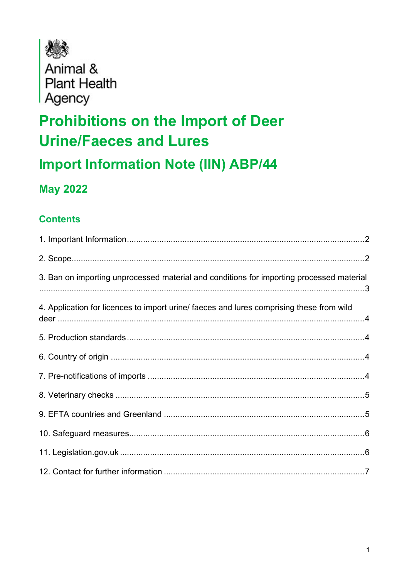

Animal & **Plant Health** Agency

# **Prohibitions on the Import of Deer Urine/Faeces and Lures**

**Import Information Note (IIN) ABP/44** 

#### **May 2022**

#### **Contents**

| 3. Ban on importing unprocessed material and conditions for importing processed material |
|------------------------------------------------------------------------------------------|
| 4. Application for licences to import urine/ faeces and lures comprising these from wild |
|                                                                                          |
|                                                                                          |
|                                                                                          |
|                                                                                          |
|                                                                                          |
|                                                                                          |
|                                                                                          |
|                                                                                          |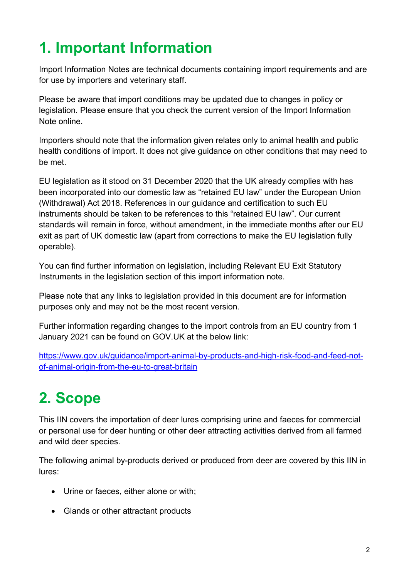# <span id="page-1-0"></span>**1. Important Information**

Import Information Notes are technical documents containing import requirements and are for use by importers and veterinary staff.

Please be aware that import conditions may be updated due to changes in policy or legislation. Please ensure that you check the current version of the Import Information Note online.

Importers should note that the information given relates only to animal health and public health conditions of import. It does not give guidance on other conditions that may need to be met.

EU legislation as it stood on 31 December 2020 that the UK already complies with has been incorporated into our domestic law as "retained EU law" under the European Union (Withdrawal) Act 2018. References in our guidance and certification to such EU instruments should be taken to be references to this "retained EU law". Our current standards will remain in force, without amendment, in the immediate months after our EU exit as part of UK domestic law (apart from corrections to make the EU legislation fully operable).

You can find further information on legislation, including Relevant EU Exit Statutory Instruments in the legislation section of this import information note.

Please note that any links to legislation provided in this document are for information purposes only and may not be the most recent version.

Further information regarding changes to the import controls from an EU country from 1 January 2021 can be found on GOV.UK at the below link:

[https://www.gov.uk/guidance/import-animal-by-products-and-high-risk-food-and-feed-not](https://www.gov.uk/guidance/import-animal-by-products-and-high-risk-food-and-feed-not-of-animal-origin-from-the-eu-to-great-britain)[of-animal-origin-from-the-eu-to-great-britain](https://www.gov.uk/guidance/import-animal-by-products-and-high-risk-food-and-feed-not-of-animal-origin-from-the-eu-to-great-britain)

# <span id="page-1-1"></span>**2. Scope**

This IIN covers the importation of deer lures comprising urine and faeces for commercial or personal use for deer hunting or other deer attracting activities derived from all farmed and wild deer species.

The following animal by-products derived or produced from deer are covered by this IIN in lures:

- Urine or faeces, either alone or with;
- Glands or other attractant products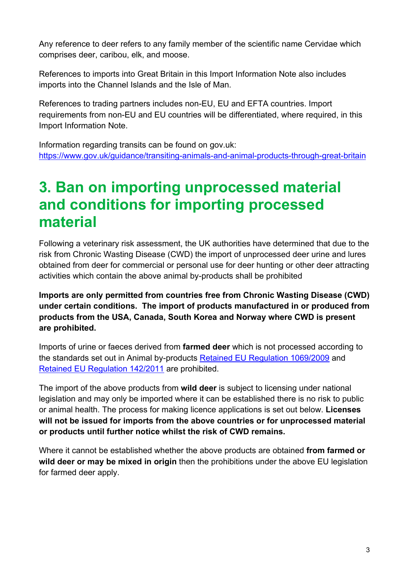Any reference to deer refers to any family member of the scientific name Cervidae which comprises deer, caribou, elk, and moose.

References to imports into Great Britain in this Import Information Note also includes imports into the Channel Islands and the Isle of Man.

References to trading partners includes non-EU, EU and EFTA countries. Import requirements from non-EU and EU countries will be differentiated, where required, in this Import Information Note.

Information regarding transits can be found on gov.uk: <https://www.gov.uk/guidance/transiting-animals-and-animal-products-through-great-britain>

#### <span id="page-2-0"></span>**3. Ban on importing unprocessed material and conditions for importing processed material**

Following a veterinary risk assessment, the UK authorities have determined that due to the risk from Chronic Wasting Disease (CWD) the import of unprocessed deer urine and lures obtained from deer for commercial or personal use for deer hunting or other deer attracting activities which contain the above animal by-products shall be prohibited

**Imports are only permitted from countries free from Chronic Wasting Disease (CWD) under certain conditions. The import of products manufactured in or produced from products from the USA, Canada, South Korea and Norway where CWD is present are prohibited.**

Imports of urine or faeces derived from **farmed deer** which is not processed according to the standards set out in Animal by-products [Retained EU Regulation 1069/2009](https://www.legislation.gov.uk/eur/2009/1069/contents) and [Retained EU Regulation 142/2011](https://www.legislation.gov.uk/eur/2011/142/contents) are prohibited.

The import of the above products from **wild deer** is subject to licensing under national legislation and may only be imported where it can be established there is no risk to public or animal health. The process for making licence applications is set out below. **Licenses will not be issued for imports from the above countries or for unprocessed material or products until further notice whilst the risk of CWD remains.**

Where it cannot be established whether the above products are obtained **from farmed or wild deer or may be mixed in origin** then the prohibitions under the above EU legislation for farmed deer apply.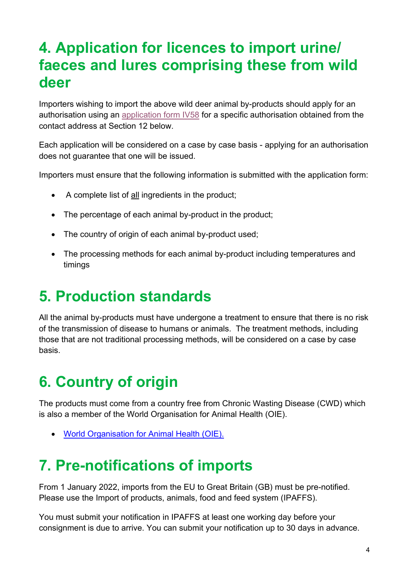#### <span id="page-3-0"></span>**4. Application for licences to import urine/ faeces and lures comprising these from wild deer**

Importers wishing to import the above wild deer animal by-products should apply for an authorisation using an [application form IV58](https://www.gov.uk/government/publications/animal-products-and-pathogens-application-for-import-licence) for a specific authorisation obtained from the contact address at Section 12 below.

Each application will be considered on a case by case basis - applying for an authorisation does not guarantee that one will be issued.

Importers must ensure that the following information is submitted with the application form:

- A complete list of all ingredients in the product;
- The percentage of each animal by-product in the product:
- The country of origin of each animal by-product used;
- The processing methods for each animal by-product including temperatures and timings

#### <span id="page-3-1"></span>**5. Production standards**

All the animal by-products must have undergone a treatment to ensure that there is no risk of the transmission of disease to humans or animals. The treatment methods, including those that are not traditional processing methods, will be considered on a case by case basis.

## <span id="page-3-2"></span>**6. Country of origin**

The products must come from a country free from Chronic Wasting Disease (CWD) which is also a member of the World Organisation for Animal Health (OIE).

• [World Organisation for Animal Health \(OIE\).](https://www.oie.int/en/who-we-are/members/)

#### <span id="page-3-3"></span>**7. Pre-notifications of imports**

From 1 January 2022, imports from the EU to Great Britain (GB) must be pre-notified. Please use the Import of products, animals, food and feed system (IPAFFS).

You must submit your notification in IPAFFS at least one working day before your consignment is due to arrive. You can submit your notification up to 30 days in advance.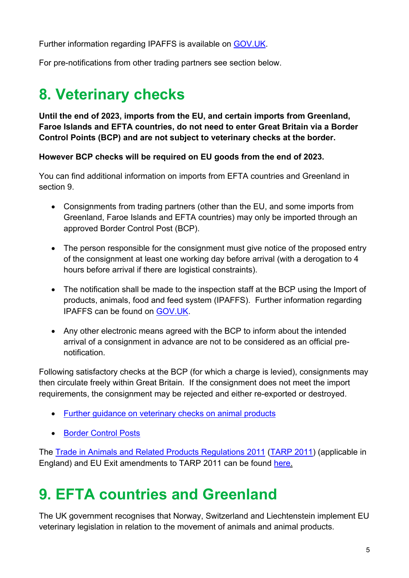Further information regarding IPAFFS is available on [GOV.UK.](https://www.gov.uk/guidance/importing-animals-animal-products-and-high-risk-food-and-feed-not-of-animal-origin-from-1-january-2021#import-from-an-eu-country)

For pre-notifications from other trading partners see section below.

## <span id="page-4-0"></span>**8. Veterinary checks**

**Until the end of 2023, imports from the EU, and certain imports from Greenland, Faroe Islands and EFTA countries, do not need to enter Great Britain via a Border Control Points (BCP) and are not subject to veterinary checks at the border.**

**However BCP checks will be required on EU goods from the end of 2023.**

You can find additional information on imports from EFTA countries and Greenland in section 9.

- Consignments from trading partners (other than the EU, and some imports from Greenland, Faroe Islands and EFTA countries) may only be imported through an approved Border Control Post (BCP).
- The person responsible for the consignment must give notice of the proposed entry of the consignment at least one working day before arrival (with a derogation to 4 hours before arrival if there are logistical constraints).
- The notification shall be made to the inspection staff at the BCP using the Import of products, animals, food and feed system (IPAFFS). Further information regarding IPAFFS can be found on [GOV.UK.](https://www.gov.uk/guidance/import-of-products-animals-food-and-feed-system)
- Any other electronic means agreed with the BCP to inform about the intended arrival of a consignment in advance are not to be considered as an official prenotification.

Following satisfactory checks at the BCP (for which a charge is levied), consignments may then circulate freely within Great Britain. If the consignment does not meet the import requirements, the consignment may be rejected and either re-exported or destroyed.

- [Further guidance on veterinary checks on animal products](http://apha.defra.gov.uk/documents/bip/iin/vcap.pdf)
- [Border Control Posts](https://www.gov.uk/government/publications/uk-border-inspection-posts-contact-details)

The [Trade in Animals and Related Products Regulations 2011](https://www.legislation.gov.uk/uksi/2011/1197/contents) [\(TARP 2011\)](https://www.legislation.gov.uk/uksi/2011/1197/contents/made) (applicable in England) and EU Exit amendments to TARP 2011 can be found [here.](https://www.legislation.gov.uk/uksi/2020/1462/made)

## <span id="page-4-1"></span>**9. EFTA countries and Greenland**

The UK government recognises that Norway, Switzerland and Liechtenstein implement EU veterinary legislation in relation to the movement of animals and animal products.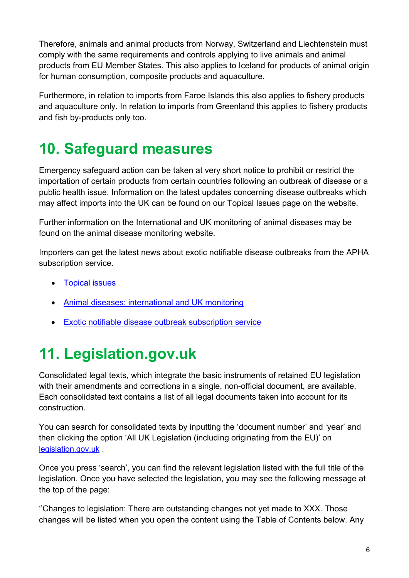Therefore, animals and animal products from Norway, Switzerland and Liechtenstein must comply with the same requirements and controls applying to live animals and animal products from EU Member States. This also applies to Iceland for products of animal origin for human consumption, composite products and aquaculture.

Furthermore, in relation to imports from Faroe Islands this also applies to fishery products and aquaculture only. In relation to imports from Greenland this applies to fishery products and fish by-products only too.

## <span id="page-5-0"></span>**10. Safeguard measures**

Emergency safeguard action can be taken at very short notice to prohibit or restrict the importation of certain products from certain countries following an outbreak of disease or a public health issue. Information on the latest updates concerning disease outbreaks which may affect imports into the UK can be found on our Topical Issues page on the website.

Further information on the International and UK monitoring of animal diseases may be found on the animal disease monitoring website.

Importers can get the latest news about exotic notifiable disease outbreaks from the APHA subscription service.

- [Topical issues](https://www.gov.uk/imports-and-exports-of-animals-and-animal-products-topical-issues)
- [Animal diseases: international and](https://www.gov.uk/government/collections/animal-diseases-international-monitoring) UK monitoring
- [Exotic notifiable disease outbreak subscription service](https://www.gov.uk/government/collections/animal-diseases-international-monitoring)

# <span id="page-5-1"></span>**11. Legislation.gov.uk**

Consolidated legal texts, which integrate the basic instruments of retained EU legislation with their amendments and corrections in a single, non-official document, are available. Each consolidated text contains a list of all legal documents taken into account for its construction.

You can search for consolidated texts by inputting the 'document number' and 'year' and then clicking the option 'All UK Legislation (including originating from the EU)' on [legislation.gov.uk](https://www.legislation.gov.uk/) .

Once you press 'search', you can find the relevant legislation listed with the full title of the legislation. Once you have selected the legislation, you may see the following message at the top of the page:

''Changes to legislation: There are outstanding changes not yet made to XXX. Those changes will be listed when you open the content using the Table of Contents below. Any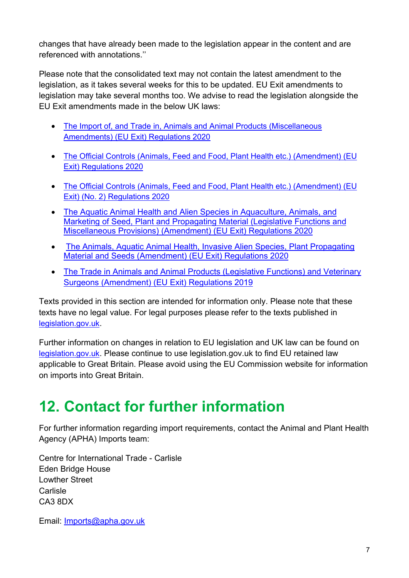changes that have already been made to the legislation appear in the content and are referenced with annotations.''

Please note that the consolidated text may not contain the latest amendment to the legislation, as it takes several weeks for this to be updated. EU Exit amendments to legislation may take several months too. We advise to read the legislation alongside the EU Exit amendments made in the below UK laws:

- The Import of, and Trade [in, Animals and Animal Products \(Miscellaneous](https://www.legislation.gov.uk/uksi/2020/1462/made)  [Amendments\) \(EU Exit\) Regulations 2020](https://www.legislation.gov.uk/uksi/2020/1462/made)
- [The Official Controls \(Animals, Feed and Food, Plant Health etc.\) \(Amendment\) \(EU](https://www.legislation.gov.uk/uksi/2020/1481/contents/made)  [Exit\) Regulations 2020](https://www.legislation.gov.uk/uksi/2020/1481/contents/made)
- [The Official Controls \(Animals, Feed and Food, Plant Health etc.\) \(Amendment\) \(EU](https://www.legislation.gov.uk/uksi/2020/1631/contents/made)  [Exit\) \(No. 2\) Regulations 2020](https://www.legislation.gov.uk/uksi/2020/1631/contents/made)
- The Aquatic Animal Health [and Alien Species in Aquaculture, Animals, and](https://www.legislation.gov.uk/uksi/2020/1463/contents/made)  [Marketing of Seed, Plant and Propagating Material](https://www.legislation.gov.uk/uksi/2020/1463/contents/made) (Legislative Functions and [Miscellaneous Provisions\) \(Amendment\) \(EU Exit\) Regulations 2020](https://www.legislation.gov.uk/uksi/2020/1463/contents/made)
- [The Animals, Aquatic Animal Health, Invasive](https://www.legislation.gov.uk/uksi/2020/1388/contents/made) Alien Species, Plant Propagating Material [and Seeds \(Amendment\) \(EU Exit\) Regulations 2020](https://www.legislation.gov.uk/uksi/2020/1388/contents/made)
- [The Trade in Animals and Animal Products \(Legislative Functions\) and Veterinary](https://www.legislation.gov.uk/uksi/2019/1225/contents/made)  Surgeons [\(Amendment\) \(EU Exit\) Regulations](https://www.legislation.gov.uk/uksi/2019/1225/contents/made) 2019

Texts provided in this section are intended for information only. Please note that these texts have no legal value. For legal purposes please refer to the texts published in [legislation.gov.uk.](https://www.legislation.gov.uk/)

Further information on changes in relation to EU legislation and UK law can be found on [legislation.gov.uk.](https://www.legislation.gov.uk/eu-legislation-and-uk-law) Please continue to use legislation.gov.uk to find EU retained law applicable to Great Britain. Please avoid using the EU Commission website for information on imports into Great Britain.

## <span id="page-6-0"></span>**12. Contact for further information**

For further information regarding import requirements, contact the Animal and Plant Health Agency (APHA) Imports team:

Centre for International Trade - Carlisle Eden Bridge House Lowther Street Carlisle CA3 8DX

Email: [Imports@apha.gov.uk](mailto:Imports@apha.gov.uk)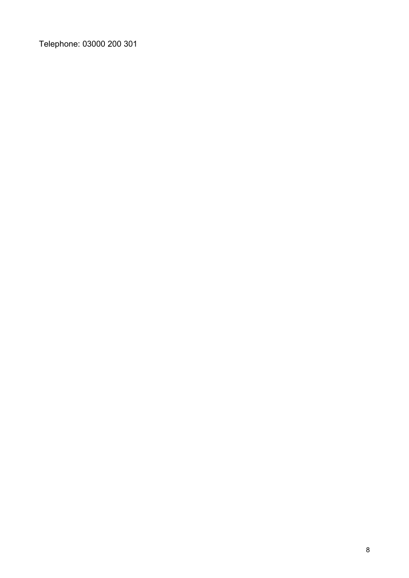Telephone: 03000 200 301